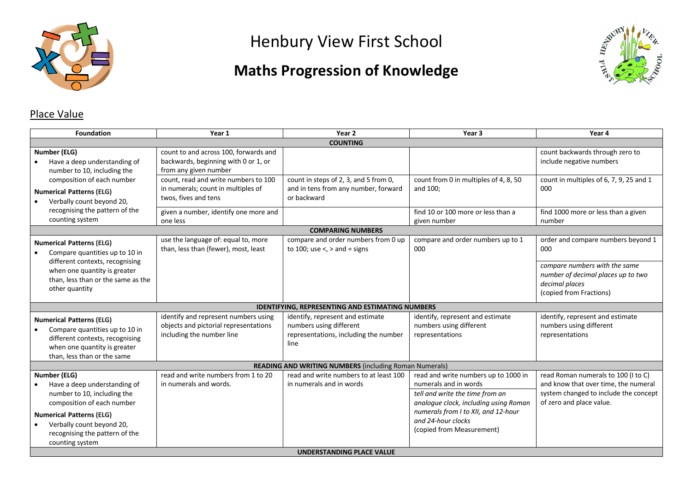

# Henbury View First School

## **Maths Progression of Knowledge**



## Place Value

| <b>Foundation</b>                                                                                                                                                   | Year 1                                                                                                     | Year 2                                                                                                       | Year <sub>3</sub>                                                                                                                         | Year 4                                                                                                                                           |
|---------------------------------------------------------------------------------------------------------------------------------------------------------------------|------------------------------------------------------------------------------------------------------------|--------------------------------------------------------------------------------------------------------------|-------------------------------------------------------------------------------------------------------------------------------------------|--------------------------------------------------------------------------------------------------------------------------------------------------|
|                                                                                                                                                                     |                                                                                                            | <b>COUNTING</b>                                                                                              |                                                                                                                                           |                                                                                                                                                  |
| <b>Number (ELG)</b><br>Have a deep understanding of<br>number to 10, including the                                                                                  | count to and across 100, forwards and<br>backwards, beginning with 0 or 1, or<br>from any given number     |                                                                                                              |                                                                                                                                           | count backwards through zero to<br>include negative numbers                                                                                      |
| composition of each number<br><b>Numerical Patterns (ELG)</b><br>Verbally count beyond 20,                                                                          | count, read and write numbers to 100<br>in numerals; count in multiples of<br>twos, fives and tens         | count in steps of 2, 3, and 5 from 0,<br>and in tens from any number, forward<br>or backward                 | count from 0 in multiples of 4, 8, 50<br>and 100;                                                                                         | count in multiples of 6, 7, 9, 25 and 1<br>000                                                                                                   |
| recognising the pattern of the<br>counting system                                                                                                                   | given a number, identify one more and<br>one less                                                          |                                                                                                              | find 10 or 100 more or less than a<br>given number                                                                                        | find 1000 more or less than a given<br>number                                                                                                    |
|                                                                                                                                                                     |                                                                                                            | <b>COMPARING NUMBERS</b>                                                                                     |                                                                                                                                           |                                                                                                                                                  |
| <b>Numerical Patterns (ELG)</b><br>Compare quantities up to 10 in                                                                                                   | use the language of: equal to, more<br>than, less than (fewer), most, least                                | compare and order numbers from 0 up<br>to 100; use $\lt$ , $>$ and = signs                                   | compare and order numbers up to 1<br>000                                                                                                  | order and compare numbers beyond 1<br>000                                                                                                        |
| different contexts, recognising<br>when one quantity is greater<br>than. less than or the same as the<br>other quantity                                             |                                                                                                            |                                                                                                              |                                                                                                                                           | compare numbers with the same<br>number of decimal places up to two<br>decimal places<br>(copied from Fractions)                                 |
|                                                                                                                                                                     |                                                                                                            | <b>IDENTIFYING, REPRESENTING AND ESTIMATING NUMBERS</b>                                                      |                                                                                                                                           |                                                                                                                                                  |
| <b>Numerical Patterns (ELG)</b><br>Compare quantities up to 10 in<br>different contexts, recognising<br>when one quantity is greater<br>than, less than or the same | identify and represent numbers using<br>objects and pictorial representations<br>including the number line | identify, represent and estimate<br>numbers using different<br>representations, including the number<br>line | identify, represent and estimate<br>numbers using different<br>representations                                                            | identify, represent and estimate<br>numbers using different<br>representations                                                                   |
|                                                                                                                                                                     |                                                                                                            | <b>READING AND WRITING NUMBERS (including Roman Numerals)</b>                                                |                                                                                                                                           |                                                                                                                                                  |
| <b>Number (ELG)</b><br>Have a deep understanding of<br>number to 10, including the<br>composition of each number                                                    | read and write numbers from 1 to 20<br>in numerals and words.                                              | read and write numbers to at least 100<br>in numerals and in words                                           | read and write numbers up to 1000 in<br>numerals and in words<br>tell and write the time from an<br>analogue clock, including using Roman | read Roman numerals to 100 (I to C)<br>and know that over time, the numeral<br>system changed to include the concept<br>of zero and place value. |
| <b>Numerical Patterns (ELG)</b><br>Verbally count beyond 20,<br>recognising the pattern of the<br>counting system                                                   |                                                                                                            | <b>UNDERSTANDING PLACE VALUE</b>                                                                             | numerals from I to XII, and 12-hour<br>and 24-hour clocks<br>(copied from Measurement)                                                    |                                                                                                                                                  |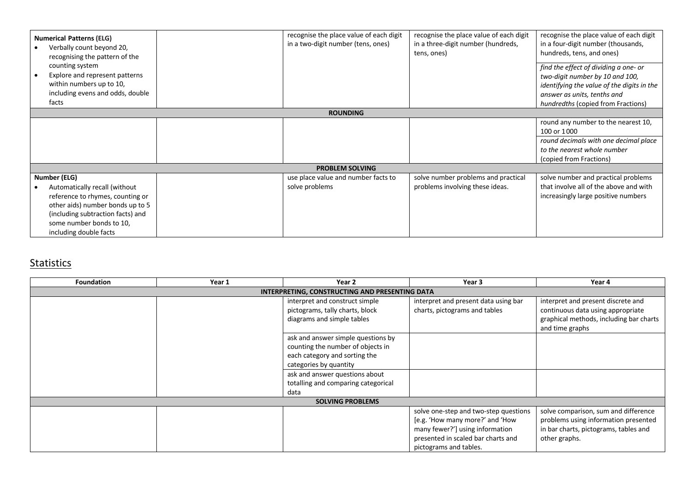| <b>Numerical Patterns (ELG)</b><br>Verbally count beyond 20,<br>recognising the pattern of the<br>counting system | recognise the place value of each digit<br>in a two-digit number (tens, ones) | recognise the place value of each digit<br>in a three-digit number (hundreds,<br>tens, ones) | recognise the place value of each digit<br>in a four-digit number (thousands,<br>hundreds, tens, and ones) |
|-------------------------------------------------------------------------------------------------------------------|-------------------------------------------------------------------------------|----------------------------------------------------------------------------------------------|------------------------------------------------------------------------------------------------------------|
| Explore and represent patterns                                                                                    |                                                                               |                                                                                              | find the effect of dividing a one- or<br>two-digit number by 10 and 100,                                   |
| within numbers up to 10,                                                                                          |                                                                               |                                                                                              | identifying the value of the digits in the                                                                 |
| including evens and odds, double                                                                                  |                                                                               |                                                                                              | answer as units, tenths and                                                                                |
| facts                                                                                                             |                                                                               |                                                                                              | hundredths (copied from Fractions)                                                                         |
|                                                                                                                   | <b>ROUNDING</b>                                                               |                                                                                              |                                                                                                            |
|                                                                                                                   |                                                                               |                                                                                              | round any number to the nearest 10,                                                                        |
|                                                                                                                   |                                                                               |                                                                                              | 100 or 1000                                                                                                |
|                                                                                                                   |                                                                               |                                                                                              | round decimals with one decimal place                                                                      |
|                                                                                                                   |                                                                               |                                                                                              | to the nearest whole number                                                                                |
|                                                                                                                   |                                                                               |                                                                                              | (copied from Fractions)                                                                                    |
|                                                                                                                   | <b>PROBLEM SOLVING</b>                                                        |                                                                                              |                                                                                                            |
| Number (ELG)                                                                                                      | use place value and number facts to                                           | solve number problems and practical                                                          | solve number and practical problems                                                                        |
| Automatically recall (without                                                                                     | solve problems                                                                | problems involving these ideas.                                                              | that involve all of the above and with                                                                     |
| reference to rhymes, counting or                                                                                  |                                                                               |                                                                                              | increasingly large positive numbers                                                                        |
| other aids) number bonds up to 5                                                                                  |                                                                               |                                                                                              |                                                                                                            |
| (including subtraction facts) and                                                                                 |                                                                               |                                                                                              |                                                                                                            |
| some number bonds to 10,                                                                                          |                                                                               |                                                                                              |                                                                                                            |
| including double facts                                                                                            |                                                                               |                                                                                              |                                                                                                            |

#### **Statistics**

| <b>Foundation</b> | Year 1 | Year 2                                         | Year 3                                | Year 4                                                     |
|-------------------|--------|------------------------------------------------|---------------------------------------|------------------------------------------------------------|
|                   |        | INTERPRETING, CONSTRUCTING AND PRESENTING DATA |                                       |                                                            |
|                   |        | interpret and construct simple                 | interpret and present data using bar  | interpret and present discrete and                         |
|                   |        | pictograms, tally charts, block                | charts, pictograms and tables         | continuous data using appropriate                          |
|                   |        | diagrams and simple tables                     |                                       | graphical methods, including bar charts<br>and time graphs |
|                   |        | ask and answer simple questions by             |                                       |                                                            |
|                   |        | counting the number of objects in              |                                       |                                                            |
|                   |        | each category and sorting the                  |                                       |                                                            |
|                   |        | categories by quantity                         |                                       |                                                            |
|                   |        | ask and answer questions about                 |                                       |                                                            |
|                   |        | totalling and comparing categorical            |                                       |                                                            |
|                   |        | data                                           |                                       |                                                            |
|                   |        | <b>SOLVING PROBLEMS</b>                        |                                       |                                                            |
|                   |        |                                                | solve one-step and two-step questions | solve comparison, sum and difference                       |
|                   |        |                                                | [e.g. 'How many more?' and 'How       | problems using information presented                       |
|                   |        |                                                | many fewer?'] using information       | in bar charts, pictograms, tables and                      |
|                   |        |                                                | presented in scaled bar charts and    | other graphs.                                              |
|                   |        |                                                | pictograms and tables.                |                                                            |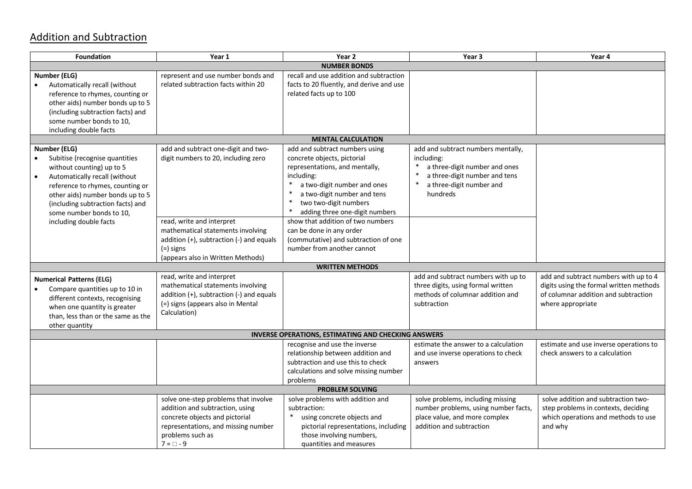### Addition and Subtraction

| <b>Foundation</b>                                                                                                           | Year 1                                                                    | Year 2                                                                                                         | Year <sub>3</sub>                    | Year 4                                  |
|-----------------------------------------------------------------------------------------------------------------------------|---------------------------------------------------------------------------|----------------------------------------------------------------------------------------------------------------|--------------------------------------|-----------------------------------------|
|                                                                                                                             |                                                                           | <b>NUMBER BONDS</b>                                                                                            |                                      |                                         |
| Number (ELG)<br>Automatically recall (without<br>reference to rhymes, counting or                                           | represent and use number bonds and<br>related subtraction facts within 20 | recall and use addition and subtraction<br>facts to 20 fluently, and derive and use<br>related facts up to 100 |                                      |                                         |
| other aids) number bonds up to 5<br>(including subtraction facts) and<br>some number bonds to 10,<br>including double facts |                                                                           |                                                                                                                |                                      |                                         |
|                                                                                                                             |                                                                           | <b>MENTAL CALCULATION</b>                                                                                      |                                      |                                         |
| Number (ELG)                                                                                                                | add and subtract one-digit and two-                                       | add and subtract numbers using                                                                                 | add and subtract numbers mentally,   |                                         |
| Subitise (recognise quantities                                                                                              | digit numbers to 20, including zero                                       | concrete objects, pictorial                                                                                    | including:                           |                                         |
| without counting) up to 5                                                                                                   |                                                                           | representations, and mentally,                                                                                 | a three-digit number and ones        |                                         |
| Automatically recall (without                                                                                               |                                                                           | including:                                                                                                     | a three-digit number and tens        |                                         |
| reference to rhymes, counting or                                                                                            |                                                                           | $\ast$<br>a two-digit number and ones                                                                          | $\ast$<br>a three-digit number and   |                                         |
| other aids) number bonds up to 5                                                                                            |                                                                           | $\ast$<br>a two-digit number and tens                                                                          | hundreds                             |                                         |
| (including subtraction facts) and                                                                                           |                                                                           | $\ast$<br>two two-digit numbers                                                                                |                                      |                                         |
| some number bonds to 10,                                                                                                    |                                                                           | $\ast$<br>adding three one-digit numbers                                                                       |                                      |                                         |
| including double facts                                                                                                      | read, write and interpret                                                 | show that addition of two numbers                                                                              |                                      |                                         |
|                                                                                                                             | mathematical statements involving                                         | can be done in any order                                                                                       |                                      |                                         |
|                                                                                                                             | addition (+), subtraction (-) and equals                                  | (commutative) and subtraction of one                                                                           |                                      |                                         |
|                                                                                                                             | (=) signs                                                                 | number from another cannot                                                                                     |                                      |                                         |
|                                                                                                                             | (appears also in Written Methods)                                         | <b>WRITTEN METHODS</b>                                                                                         |                                      |                                         |
|                                                                                                                             | read, write and interpret                                                 |                                                                                                                | add and subtract numbers with up to  | add and subtract numbers with up to 4   |
| <b>Numerical Patterns (ELG)</b>                                                                                             | mathematical statements involving                                         |                                                                                                                | three digits, using formal written   | digits using the formal written methods |
| Compare quantities up to 10 in                                                                                              | addition (+), subtraction (-) and equals                                  |                                                                                                                | methods of columnar addition and     | of columnar addition and subtraction    |
| different contexts, recognising                                                                                             | (=) signs (appears also in Mental                                         |                                                                                                                | subtraction                          | where appropriate                       |
| when one quantity is greater<br>than, less than or the same as the                                                          | Calculation)                                                              |                                                                                                                |                                      |                                         |
| other quantity                                                                                                              |                                                                           |                                                                                                                |                                      |                                         |
|                                                                                                                             |                                                                           | <b>INVERSE OPERATIONS, ESTIMATING AND CHECKING ANSWERS</b>                                                     |                                      |                                         |
|                                                                                                                             |                                                                           | recognise and use the inverse                                                                                  | estimate the answer to a calculation | estimate and use inverse operations to  |
|                                                                                                                             |                                                                           | relationship between addition and                                                                              | and use inverse operations to check  | check answers to a calculation          |
|                                                                                                                             |                                                                           | subtraction and use this to check                                                                              | answers                              |                                         |
|                                                                                                                             |                                                                           | calculations and solve missing number                                                                          |                                      |                                         |
|                                                                                                                             |                                                                           | problems                                                                                                       |                                      |                                         |
|                                                                                                                             |                                                                           | <b>PROBLEM SOLVING</b>                                                                                         |                                      |                                         |
|                                                                                                                             | solve one-step problems that involve                                      | solve problems with addition and                                                                               | solve problems, including missing    | solve addition and subtraction two-     |
|                                                                                                                             | addition and subtraction, using                                           | subtraction:                                                                                                   | number problems, using number facts, | step problems in contexts, deciding     |
|                                                                                                                             | concrete objects and pictorial                                            | $\ast$<br>using concrete objects and                                                                           | place value, and more complex        | which operations and methods to use     |
|                                                                                                                             | representations, and missing number                                       | pictorial representations, including                                                                           | addition and subtraction             | and why                                 |
|                                                                                                                             | problems such as                                                          | those involving numbers,                                                                                       |                                      |                                         |
|                                                                                                                             | $7 = \Box - 9$                                                            | quantities and measures                                                                                        |                                      |                                         |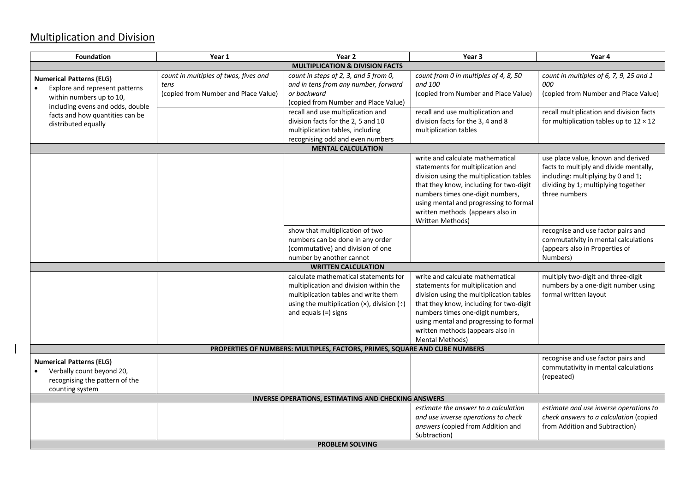### Multiplication and Division

| <b>Foundation</b>                                                                                                 | Year 1                                                                                | Year 2                                                                                                                                                                                                             | Year <sub>3</sub>                                                                                                                                                                                                                                                                                  | Year 4                                                                                                                                                                     |
|-------------------------------------------------------------------------------------------------------------------|---------------------------------------------------------------------------------------|--------------------------------------------------------------------------------------------------------------------------------------------------------------------------------------------------------------------|----------------------------------------------------------------------------------------------------------------------------------------------------------------------------------------------------------------------------------------------------------------------------------------------------|----------------------------------------------------------------------------------------------------------------------------------------------------------------------------|
|                                                                                                                   |                                                                                       | <b>MULTIPLICATION &amp; DIVISION FACTS</b>                                                                                                                                                                         |                                                                                                                                                                                                                                                                                                    |                                                                                                                                                                            |
| <b>Numerical Patterns (ELG)</b><br>Explore and represent patterns<br>within numbers up to 10,                     | count in multiples of twos, fives and<br>tens<br>(copied from Number and Place Value) | count in steps of 2, 3, and 5 from 0,<br>and in tens from any number, forward<br>or backward<br>(copied from Number and Place Value)                                                                               | count from 0 in multiples of 4, 8, 50<br>and 100<br>(copied from Number and Place Value)                                                                                                                                                                                                           | count in multiples of 6, 7, 9, 25 and 1<br>000<br>(copied from Number and Place Value)                                                                                     |
| including evens and odds, double<br>facts and how quantities can be<br>distributed equally                        |                                                                                       | recall and use multiplication and<br>division facts for the 2, 5 and 10<br>multiplication tables, including<br>recognising odd and even numbers                                                                    | recall and use multiplication and<br>division facts for the 3, 4 and 8<br>multiplication tables                                                                                                                                                                                                    | recall multiplication and division facts<br>for multiplication tables up to $12 \times 12$                                                                                 |
|                                                                                                                   |                                                                                       | <b>MENTAL CALCULATION</b>                                                                                                                                                                                          |                                                                                                                                                                                                                                                                                                    |                                                                                                                                                                            |
|                                                                                                                   |                                                                                       |                                                                                                                                                                                                                    | write and calculate mathematical<br>statements for multiplication and<br>division using the multiplication tables<br>that they know, including for two-digit<br>numbers times one-digit numbers,<br>using mental and progressing to formal<br>written methods (appears also in<br>Written Methods) | use place value, known and derived<br>facts to multiply and divide mentally,<br>including: multiplying by 0 and 1;<br>dividing by 1; multiplying together<br>three numbers |
|                                                                                                                   |                                                                                       | show that multiplication of two<br>numbers can be done in any order<br>(commutative) and division of one<br>number by another cannot                                                                               |                                                                                                                                                                                                                                                                                                    | recognise and use factor pairs and<br>commutativity in mental calculations<br>(appears also in Properties of<br>Numbers)                                                   |
|                                                                                                                   |                                                                                       | <b>WRITTEN CALCULATION</b>                                                                                                                                                                                         |                                                                                                                                                                                                                                                                                                    |                                                                                                                                                                            |
|                                                                                                                   |                                                                                       | calculate mathematical statements for<br>multiplication and division within the<br>multiplication tables and write them<br>using the multiplication $(x)$ , division $\left(\div\right)$<br>and equals $(=)$ signs | write and calculate mathematical<br>statements for multiplication and<br>division using the multiplication tables<br>that they know, including for two-digit<br>numbers times one-digit numbers,<br>using mental and progressing to formal<br>written methods (appears also in<br>Mental Methods)  | multiply two-digit and three-digit<br>numbers by a one-digit number using<br>formal written layout                                                                         |
|                                                                                                                   |                                                                                       | PROPERTIES OF NUMBERS: MULTIPLES, FACTORS, PRIMES, SQUARE AND CUBE NUMBERS                                                                                                                                         |                                                                                                                                                                                                                                                                                                    |                                                                                                                                                                            |
| <b>Numerical Patterns (ELG)</b><br>Verbally count beyond 20,<br>recognising the pattern of the<br>counting system |                                                                                       |                                                                                                                                                                                                                    |                                                                                                                                                                                                                                                                                                    | recognise and use factor pairs and<br>commutativity in mental calculations<br>(repeated)                                                                                   |
|                                                                                                                   |                                                                                       | <b>INVERSE OPERATIONS, ESTIMATING AND CHECKING ANSWERS</b>                                                                                                                                                         |                                                                                                                                                                                                                                                                                                    |                                                                                                                                                                            |
|                                                                                                                   |                                                                                       | <b>PROBLEM SOLVING</b>                                                                                                                                                                                             | estimate the answer to a calculation<br>and use inverse operations to check<br>answers (copied from Addition and<br>Subtraction)                                                                                                                                                                   | estimate and use inverse operations to<br>check answers to a calculation (copied<br>from Addition and Subtraction)                                                         |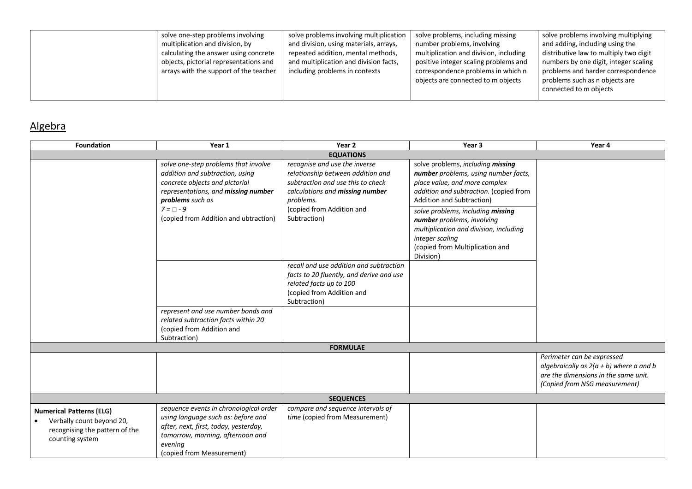| solve one-step problems involving<br>multiplication and division, by<br>calculating the answer using concrete<br>objects, pictorial representations and<br>arrays with the support of the teacher | solve problems involving multiplication<br>and division, using materials, arrays,<br>repeated addition, mental methods,<br>and multiplication and division facts,<br>including problems in contexts | solve problems, including missing<br>number problems, involving<br>multiplication and division, including<br>positive integer scaling problems and<br>correspondence problems in which n<br>objects are connected to m objects | solve problems involving multiplying<br>and adding, including using the<br>distributive law to multiply two digit<br>numbers by one digit, integer scaling<br>problems and harder correspondence<br>problems such as n objects are<br>connected to m objects |
|---------------------------------------------------------------------------------------------------------------------------------------------------------------------------------------------------|-----------------------------------------------------------------------------------------------------------------------------------------------------------------------------------------------------|--------------------------------------------------------------------------------------------------------------------------------------------------------------------------------------------------------------------------------|--------------------------------------------------------------------------------------------------------------------------------------------------------------------------------------------------------------------------------------------------------------|
|---------------------------------------------------------------------------------------------------------------------------------------------------------------------------------------------------|-----------------------------------------------------------------------------------------------------------------------------------------------------------------------------------------------------|--------------------------------------------------------------------------------------------------------------------------------------------------------------------------------------------------------------------------------|--------------------------------------------------------------------------------------------------------------------------------------------------------------------------------------------------------------------------------------------------------------|

## Algebra

| <b>Foundation</b>                                                                                                 | Year 1                                                                                                                                                                                            | Year 2                                                                                                                                                      | Year 3                                                                                                                                                                                   | Year 4                                                                                                                                           |
|-------------------------------------------------------------------------------------------------------------------|---------------------------------------------------------------------------------------------------------------------------------------------------------------------------------------------------|-------------------------------------------------------------------------------------------------------------------------------------------------------------|------------------------------------------------------------------------------------------------------------------------------------------------------------------------------------------|--------------------------------------------------------------------------------------------------------------------------------------------------|
|                                                                                                                   |                                                                                                                                                                                                   | <b>EQUATIONS</b>                                                                                                                                            |                                                                                                                                                                                          |                                                                                                                                                  |
|                                                                                                                   | solve one-step problems that involve<br>addition and subtraction, using<br>concrete objects and pictorial<br>representations, and missing number<br>problems such as                              | recognise and use the inverse<br>relationship between addition and<br>subtraction and use this to check<br>calculations and missing number<br>problems.     | solve problems, including missing<br>number problems, using number facts,<br>place value, and more complex<br>addition and subtraction. (copied from<br><b>Addition and Subtraction)</b> |                                                                                                                                                  |
|                                                                                                                   | $7 = \Box - 9$<br>(copied from Addition and ubtraction)                                                                                                                                           | (copied from Addition and<br>Subtraction)                                                                                                                   | solve problems, including missing<br>number problems, involving<br>multiplication and division, including<br>integer scaling<br>(copied from Multiplication and<br>Division)             |                                                                                                                                                  |
|                                                                                                                   |                                                                                                                                                                                                   | recall and use addition and subtraction<br>facts to 20 fluently, and derive and use<br>related facts up to 100<br>(copied from Addition and<br>Subtraction) |                                                                                                                                                                                          |                                                                                                                                                  |
|                                                                                                                   | represent and use number bonds and<br>related subtraction facts within 20<br>(copied from Addition and<br>Subtraction)                                                                            |                                                                                                                                                             |                                                                                                                                                                                          |                                                                                                                                                  |
|                                                                                                                   |                                                                                                                                                                                                   | <b>FORMULAE</b>                                                                                                                                             |                                                                                                                                                                                          |                                                                                                                                                  |
|                                                                                                                   |                                                                                                                                                                                                   |                                                                                                                                                             |                                                                                                                                                                                          | Perimeter can be expressed<br>algebraically as $2(a + b)$ where a and b<br>are the dimensions in the same unit.<br>(Copied from NSG measurement) |
| <b>SEQUENCES</b>                                                                                                  |                                                                                                                                                                                                   |                                                                                                                                                             |                                                                                                                                                                                          |                                                                                                                                                  |
| <b>Numerical Patterns (ELG)</b><br>Verbally count beyond 20,<br>recognising the pattern of the<br>counting system | sequence events in chronological order<br>using language such as: before and<br>after, next, first, today, yesterday,<br>tomorrow, morning, afternoon and<br>evening<br>(copied from Measurement) | compare and sequence intervals of<br>time (copied from Measurement)                                                                                         |                                                                                                                                                                                          |                                                                                                                                                  |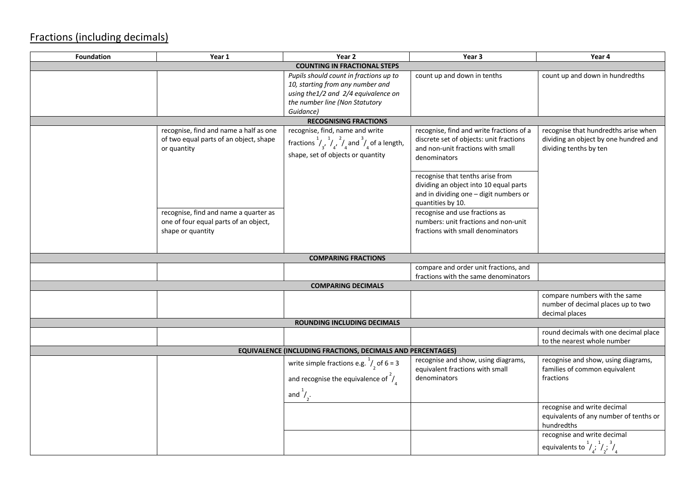### Fractions (including decimals)

| Foundation | Year 1                                                                                          | Year 2                                                                                                                                                           | Year 3                                                                                                                                                                      | Year 4                                                                                                  |
|------------|-------------------------------------------------------------------------------------------------|------------------------------------------------------------------------------------------------------------------------------------------------------------------|-----------------------------------------------------------------------------------------------------------------------------------------------------------------------------|---------------------------------------------------------------------------------------------------------|
|            |                                                                                                 | <b>COUNTING IN FRACTIONAL STEPS</b>                                                                                                                              |                                                                                                                                                                             |                                                                                                         |
|            |                                                                                                 | Pupils should count in fractions up to<br>10, starting from any number and<br>using the1/2 and 2/4 equivalence on<br>the number line (Non Statutory<br>Guidance) | count up and down in tenths                                                                                                                                                 | count up and down in hundredths                                                                         |
|            |                                                                                                 | <b>RECOGNISING FRACTIONS</b>                                                                                                                                     |                                                                                                                                                                             |                                                                                                         |
|            | recognise, find and name a half as one<br>of two equal parts of an object, shape<br>or quantity | recognise, find, name and write<br>fractions $\frac{1}{4}$ , $\frac{1}{4}$ , $\frac{2}{4}$ and $\frac{3}{4}$ of a length,<br>shape, set of objects or quantity   | recognise, find and write fractions of a<br>discrete set of objects: unit fractions<br>and non-unit fractions with small<br>denominators                                    | recognise that hundredths arise when<br>dividing an object by one hundred and<br>dividing tenths by ten |
|            | recognise, find and name a quarter as                                                           |                                                                                                                                                                  | recognise that tenths arise from<br>dividing an object into 10 equal parts<br>and in dividing one - digit numbers or<br>quantities by 10.<br>recognise and use fractions as |                                                                                                         |
|            | one of four equal parts of an object,<br>shape or quantity                                      |                                                                                                                                                                  | numbers: unit fractions and non-unit<br>fractions with small denominators                                                                                                   |                                                                                                         |
|            |                                                                                                 | <b>COMPARING FRACTIONS</b>                                                                                                                                       |                                                                                                                                                                             |                                                                                                         |
|            |                                                                                                 |                                                                                                                                                                  | compare and order unit fractions, and<br>fractions with the same denominators                                                                                               |                                                                                                         |
|            |                                                                                                 | <b>COMPARING DECIMALS</b>                                                                                                                                        |                                                                                                                                                                             |                                                                                                         |
|            |                                                                                                 |                                                                                                                                                                  |                                                                                                                                                                             | compare numbers with the same<br>number of decimal places up to two<br>decimal places                   |
|            |                                                                                                 | ROUNDING INCLUDING DECIMALS                                                                                                                                      |                                                                                                                                                                             |                                                                                                         |
|            |                                                                                                 |                                                                                                                                                                  |                                                                                                                                                                             | round decimals with one decimal place<br>to the nearest whole number                                    |
|            |                                                                                                 | EQUIVALENCE (INCLUDING FRACTIONS, DECIMALS AND PERCENTAGES)                                                                                                      |                                                                                                                                                                             |                                                                                                         |
|            |                                                                                                 | write simple fractions e.g. $\frac{1}{2}$ of 6 = 3<br>and recognise the equivalence of $\frac{2}{4}$                                                             | recognise and show, using diagrams,<br>equivalent fractions with small<br>denominators                                                                                      | recognise and show, using diagrams,<br>families of common equivalent<br>fractions                       |
|            |                                                                                                 | and $\frac{1}{2}$ .                                                                                                                                              |                                                                                                                                                                             |                                                                                                         |
|            |                                                                                                 |                                                                                                                                                                  |                                                                                                                                                                             | recognise and write decimal<br>equivalents of any number of tenths or<br>hundredths                     |
|            |                                                                                                 |                                                                                                                                                                  |                                                                                                                                                                             | recognise and write decimal<br>equivalents to $\frac{1}{4}$ , $\frac{1}{4}$ , $\frac{3}{4}$             |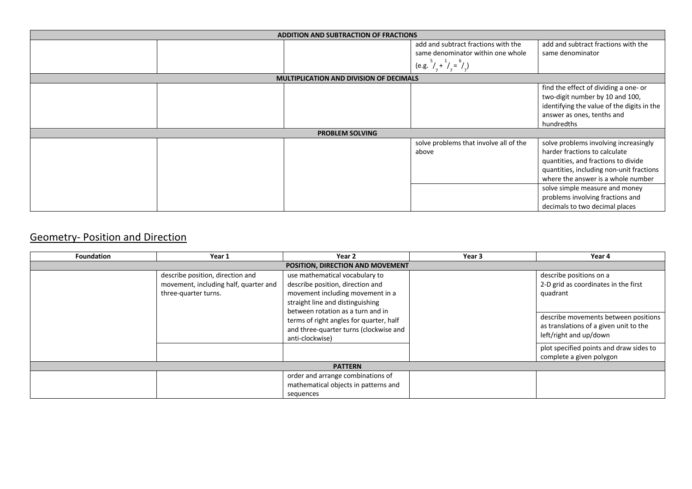|  | ADDITION AND SUBTRACTION OF FRACTIONS          |                                                 |                                                                                                                                                                                                 |
|--|------------------------------------------------|-------------------------------------------------|-------------------------------------------------------------------------------------------------------------------------------------------------------------------------------------------------|
|  |                                                | add and subtract fractions with the             | add and subtract fractions with the                                                                                                                                                             |
|  |                                                | same denominator within one whole               | same denominator                                                                                                                                                                                |
|  |                                                | (e.g. $^{5}/_{7} + ^{1}/_{7} = ^{6}/_{7}$ )     |                                                                                                                                                                                                 |
|  | <b>MULTIPLICATION AND DIVISION OF DECIMALS</b> |                                                 |                                                                                                                                                                                                 |
|  |                                                |                                                 | find the effect of dividing a one- or<br>two-digit number by 10 and 100,<br>identifying the value of the digits in the<br>answer as ones, tenths and<br>hundredths                              |
|  | <b>PROBLEM SOLVING</b>                         |                                                 |                                                                                                                                                                                                 |
|  |                                                | solve problems that involve all of the<br>above | solve problems involving increasingly<br>harder fractions to calculate<br>quantities, and fractions to divide<br>quantities, including non-unit fractions<br>where the answer is a whole number |
|  |                                                |                                                 | solve simple measure and money<br>problems involving fractions and<br>decimals to two decimal places                                                                                            |

## Geometry- Position and Direction

| <b>Foundation</b>                | Year 1                                                                                            | Year 2                                                                                                                                                                                                                                                                                  | Year 3 | Year 4                                                                                                                                                                                                                                                         |  |
|----------------------------------|---------------------------------------------------------------------------------------------------|-----------------------------------------------------------------------------------------------------------------------------------------------------------------------------------------------------------------------------------------------------------------------------------------|--------|----------------------------------------------------------------------------------------------------------------------------------------------------------------------------------------------------------------------------------------------------------------|--|
| POSITION, DIRECTION AND MOVEMENT |                                                                                                   |                                                                                                                                                                                                                                                                                         |        |                                                                                                                                                                                                                                                                |  |
|                                  | describe position, direction and<br>movement, including half, quarter and<br>three-quarter turns. | use mathematical vocabulary to<br>describe position, direction and<br>movement including movement in a<br>straight line and distinguishing<br>between rotation as a turn and in<br>terms of right angles for quarter, half<br>and three-quarter turns (clockwise and<br>anti-clockwise) |        | describe positions on a<br>2-D grid as coordinates in the first<br>quadrant<br>describe movements between positions<br>as translations of a given unit to the<br>left/right and up/down<br>plot specified points and draw sides to<br>complete a given polygon |  |
| <b>PATTERN</b>                   |                                                                                                   |                                                                                                                                                                                                                                                                                         |        |                                                                                                                                                                                                                                                                |  |
|                                  |                                                                                                   | order and arrange combinations of<br>mathematical objects in patterns and<br>sequences                                                                                                                                                                                                  |        |                                                                                                                                                                                                                                                                |  |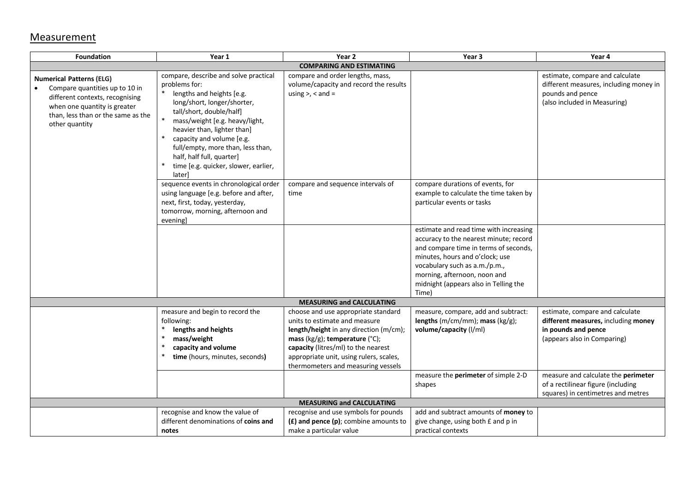#### **Measurement**

| <b>Foundation</b>                                                                                                                                                                            | Year 1                                                                                                                                                                                                                                                                                                                                                           | Year 2                                                                                                                                                                                                                                                                           | Year <sub>3</sub>                                                                                                                                                                                                                                                               | Year 4                                                                                                                        |
|----------------------------------------------------------------------------------------------------------------------------------------------------------------------------------------------|------------------------------------------------------------------------------------------------------------------------------------------------------------------------------------------------------------------------------------------------------------------------------------------------------------------------------------------------------------------|----------------------------------------------------------------------------------------------------------------------------------------------------------------------------------------------------------------------------------------------------------------------------------|---------------------------------------------------------------------------------------------------------------------------------------------------------------------------------------------------------------------------------------------------------------------------------|-------------------------------------------------------------------------------------------------------------------------------|
|                                                                                                                                                                                              |                                                                                                                                                                                                                                                                                                                                                                  | <b>COMPARING AND ESTIMATING</b>                                                                                                                                                                                                                                                  |                                                                                                                                                                                                                                                                                 |                                                                                                                               |
| <b>Numerical Patterns (ELG)</b><br>Compare quantities up to 10 in<br>different contexts, recognising<br>when one quantity is greater<br>than, less than or the same as the<br>other quantity | compare, describe and solve practical<br>problems for:<br>lengths and heights [e.g.<br>long/short, longer/shorter,<br>tall/short, double/half]<br>mass/weight [e.g. heavy/light,<br>heavier than, lighter than]<br>capacity and volume [e.g.<br>full/empty, more than, less than,<br>half, half full, quarter]<br>time [e.g. quicker, slower, earlier,<br>later] | compare and order lengths, mass,<br>volume/capacity and record the results<br>using $>$ , $<$ and $=$                                                                                                                                                                            |                                                                                                                                                                                                                                                                                 | estimate, compare and calculate<br>different measures, including money in<br>pounds and pence<br>(also included in Measuring) |
|                                                                                                                                                                                              | sequence events in chronological order<br>using language [e.g. before and after,<br>next, first, today, yesterday,<br>tomorrow, morning, afternoon and<br>evening]                                                                                                                                                                                               | compare and sequence intervals of<br>time                                                                                                                                                                                                                                        | compare durations of events, for<br>example to calculate the time taken by<br>particular events or tasks                                                                                                                                                                        |                                                                                                                               |
|                                                                                                                                                                                              |                                                                                                                                                                                                                                                                                                                                                                  |                                                                                                                                                                                                                                                                                  | estimate and read time with increasing<br>accuracy to the nearest minute; record<br>and compare time in terms of seconds,<br>minutes, hours and o'clock; use<br>vocabulary such as a.m./p.m.,<br>morning, afternoon, noon and<br>midnight (appears also in Telling the<br>Time) |                                                                                                                               |
|                                                                                                                                                                                              |                                                                                                                                                                                                                                                                                                                                                                  | <b>MEASURING and CALCULATING</b>                                                                                                                                                                                                                                                 |                                                                                                                                                                                                                                                                                 |                                                                                                                               |
|                                                                                                                                                                                              | measure and begin to record the<br>following:<br>lengths and heights<br>$\ast$<br>mass/weight<br>$\ast$<br>capacity and volume<br>time (hours, minutes, seconds)                                                                                                                                                                                                 | choose and use appropriate standard<br>units to estimate and measure<br>length/height in any direction (m/cm);<br>mass ( $kg/g$ ); temperature ( $°C$ );<br>capacity (litres/ml) to the nearest<br>appropriate unit, using rulers, scales,<br>thermometers and measuring vessels | measure, compare, add and subtract:<br>lengths (m/cm/mm); mass (kg/g);<br>volume/capacity (I/ml)                                                                                                                                                                                | estimate, compare and calculate<br>different measures, including money<br>in pounds and pence<br>(appears also in Comparing)  |
|                                                                                                                                                                                              |                                                                                                                                                                                                                                                                                                                                                                  |                                                                                                                                                                                                                                                                                  | measure the perimeter of simple 2-D<br>shapes                                                                                                                                                                                                                                   | measure and calculate the perimeter<br>of a rectilinear figure (including<br>squares) in centimetres and metres               |
|                                                                                                                                                                                              |                                                                                                                                                                                                                                                                                                                                                                  | <b>MEASURING and CALCULATING</b>                                                                                                                                                                                                                                                 |                                                                                                                                                                                                                                                                                 |                                                                                                                               |
|                                                                                                                                                                                              | recognise and know the value of<br>different denominations of coins and<br>notes                                                                                                                                                                                                                                                                                 | recognise and use symbols for pounds<br>$(E)$ and pence $(p)$ ; combine amounts to<br>make a particular value                                                                                                                                                                    | add and subtract amounts of money to<br>give change, using both £ and p in<br>practical contexts                                                                                                                                                                                |                                                                                                                               |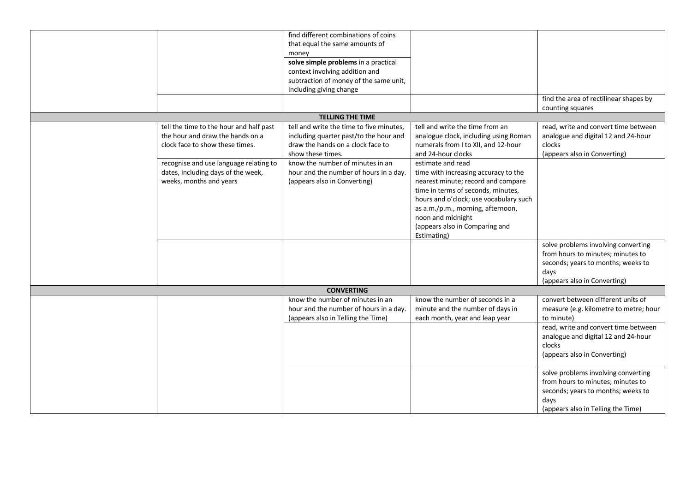|                                                                                                                | find different combinations of coins<br>that equal the same amounts of<br>money<br>solve simple problems in a practical                      |                                                                                                                                                                                                                                           |                                                                                                                                                              |
|----------------------------------------------------------------------------------------------------------------|----------------------------------------------------------------------------------------------------------------------------------------------|-------------------------------------------------------------------------------------------------------------------------------------------------------------------------------------------------------------------------------------------|--------------------------------------------------------------------------------------------------------------------------------------------------------------|
|                                                                                                                | context involving addition and<br>subtraction of money of the same unit,<br>including giving change                                          |                                                                                                                                                                                                                                           |                                                                                                                                                              |
|                                                                                                                |                                                                                                                                              |                                                                                                                                                                                                                                           | find the area of rectilinear shapes by<br>counting squares                                                                                                   |
|                                                                                                                | <b>TELLING THE TIME</b>                                                                                                                      |                                                                                                                                                                                                                                           |                                                                                                                                                              |
| tell the time to the hour and half past<br>the hour and draw the hands on a<br>clock face to show these times. | tell and write the time to five minutes,<br>including quarter past/to the hour and<br>draw the hands on a clock face to<br>show these times. | tell and write the time from an<br>analogue clock, including using Roman<br>numerals from I to XII, and 12-hour<br>and 24-hour clocks                                                                                                     | read, write and convert time between<br>analogue and digital 12 and 24-hour<br>clocks<br>(appears also in Converting)                                        |
| recognise and use language relating to<br>dates, including days of the week,<br>weeks, months and years        | know the number of minutes in an<br>hour and the number of hours in a day.<br>(appears also in Converting)                                   | estimate and read<br>time with increasing accuracy to the<br>nearest minute; record and compare<br>time in terms of seconds, minutes,<br>hours and o'clock; use vocabulary such<br>as a.m./p.m., morning, afternoon,<br>noon and midnight |                                                                                                                                                              |
|                                                                                                                |                                                                                                                                              | (appears also in Comparing and<br>Estimating)                                                                                                                                                                                             |                                                                                                                                                              |
|                                                                                                                |                                                                                                                                              |                                                                                                                                                                                                                                           | solve problems involving converting<br>from hours to minutes; minutes to<br>seconds; years to months; weeks to<br>days<br>(appears also in Converting)       |
|                                                                                                                | <b>CONVERTING</b>                                                                                                                            |                                                                                                                                                                                                                                           |                                                                                                                                                              |
|                                                                                                                | know the number of minutes in an<br>hour and the number of hours in a day.<br>(appears also in Telling the Time)                             | know the number of seconds in a<br>minute and the number of days in<br>each month, year and leap year                                                                                                                                     | convert between different units of<br>measure (e.g. kilometre to metre; hour<br>to minute)                                                                   |
|                                                                                                                |                                                                                                                                              |                                                                                                                                                                                                                                           | read, write and convert time between<br>analogue and digital 12 and 24-hour<br>clocks<br>(appears also in Converting)                                        |
|                                                                                                                |                                                                                                                                              |                                                                                                                                                                                                                                           | solve problems involving converting<br>from hours to minutes; minutes to<br>seconds; years to months; weeks to<br>days<br>(appears also in Telling the Time) |